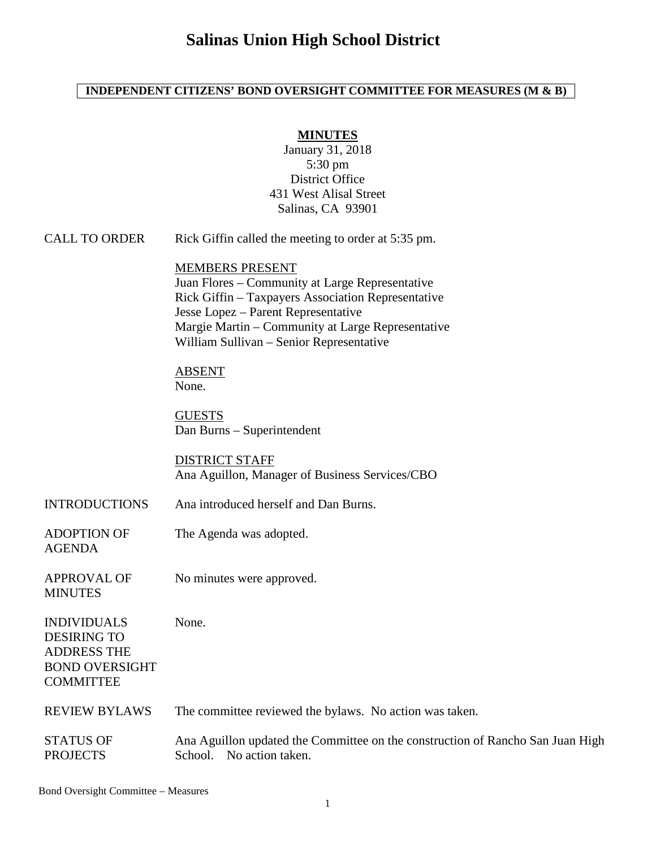# **Salinas Union High School District**

### **INDEPENDENT CITIZENS' BOND OVERSIGHT COMMITTEE FOR MEASURES (M & B)**

### **MINUTES**

January 31, 2018 5:30 pm District Office 431 West Alisal Street Salinas, CA 93901

CALL TO ORDER Rick Giffin called the meeting to order at 5:35 pm.

#### MEMBERS PRESENT

Juan Flores – Community at Large Representative Rick Giffin – Taxpayers Association Representative Jesse Lopez – Parent Representative Margie Martin – Community at Large Representative William Sullivan – Senior Representative

ABSENT None.

**GUESTS** Dan Burns – Superintendent

DISTRICT STAFF Ana Aguillon, Manager of Business Services/CBO

- INTRODUCTIONS Ana introduced herself and Dan Burns.
- ADOPTION OF AGENDA The Agenda was adopted.
- APPROVAL OF **MINUTES** No minutes were approved.

None.

INDIVIDUALS DESIRING TO ADDRESS THE BOND OVERSIGHT **COMMITTEE** 

| <b>REVIEW BYLAWS</b> | The committee reviewed the bylaws. No action was taken. |  |
|----------------------|---------------------------------------------------------|--|
|----------------------|---------------------------------------------------------|--|

STATUS OF PROJECTS Ana Aguillon updated the Committee on the construction of Rancho San Juan High School. No action taken.